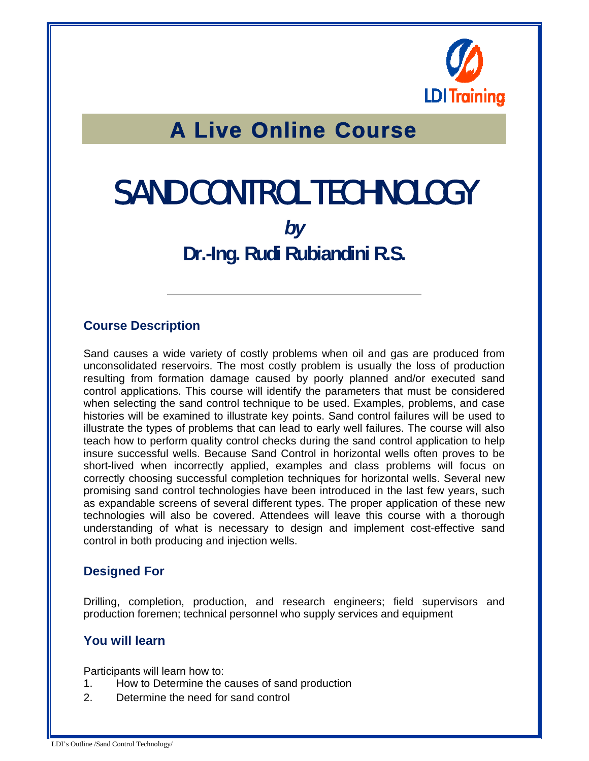

## A Live Online Course

# SAND CONTROL TECHNOLOGY

### *by*  **Dr.-Ing. Rudi Rubiandini R.S.**

#### **Course Description**

Sand causes a wide variety of costly problems when oil and gas are produced from unconsolidated reservoirs. The most costly problem is usually the loss of production resulting from formation damage caused by poorly planned and/or executed sand control applications. This course will identify the parameters that must be considered when selecting the sand control technique to be used. Examples, problems, and case histories will be examined to illustrate key points. Sand control failures will be used to illustrate the types of problems that can lead to early well failures. The course will also teach how to perform quality control checks during the sand control application to help insure successful wells. Because Sand Control in horizontal wells often proves to be short-lived when incorrectly applied, examples and class problems will focus on correctly choosing successful completion techniques for horizontal wells. Several new promising sand control technologies have been introduced in the last few years, such as expandable screens of several different types. The proper application of these new technologies will also be covered. Attendees will leave this course with a thorough understanding of what is necessary to design and implement cost-effective sand control in both producing and injection wells.

#### **Designed For**

Drilling, completion, production, and research engineers; field supervisors and production foremen; technical personnel who supply services and equipment

#### **You will learn**

Participants will learn how to:

- 1. How to Determine the causes of sand production
- 2. Determine the need for sand control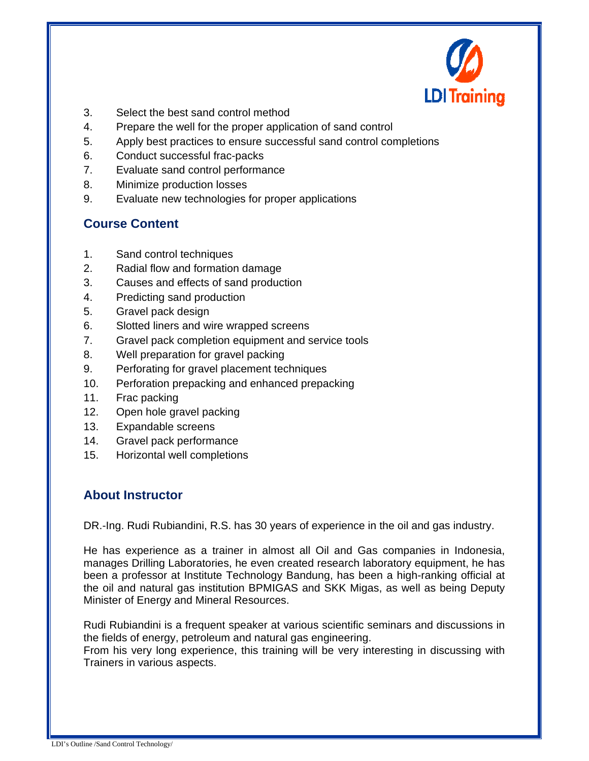

- 3. Select the best sand control method
- 4. Prepare the well for the proper application of sand control
- 5. Apply best practices to ensure successful sand control completions
- 6. Conduct successful frac-packs
- 7. Evaluate sand control performance
- 8. Minimize production losses
- 9. Evaluate new technologies for proper applications

#### **Course Content**

- 1. Sand control techniques
- 2. Radial flow and formation damage
- 3. Causes and effects of sand production
- 4. Predicting sand production
- 5. Gravel pack design
- 6. Slotted liners and wire wrapped screens
- 7. Gravel pack completion equipment and service tools
- 8. Well preparation for gravel packing
- 9. Perforating for gravel placement techniques
- 10. Perforation prepacking and enhanced prepacking
- 11. Frac packing
- 12. Open hole gravel packing
- 13. Expandable screens
- 14. Gravel pack performance
- 15. Horizontal well completions

#### **About Instructor**

DR.-Ing. Rudi Rubiandini, R.S. has 30 years of experience in the oil and gas industry.

He has experience as a trainer in almost all Oil and Gas companies in Indonesia, manages Drilling Laboratories, he even created research laboratory equipment, he has been a professor at Institute Technology Bandung, has been a high-ranking official at the oil and natural gas institution BPMIGAS and SKK Migas, as well as being Deputy Minister of Energy and Mineral Resources.

Rudi Rubiandini is a frequent speaker at various scientific seminars and discussions in the fields of energy, petroleum and natural gas engineering.

From his very long experience, this training will be very interesting in discussing with Trainers in various aspects.